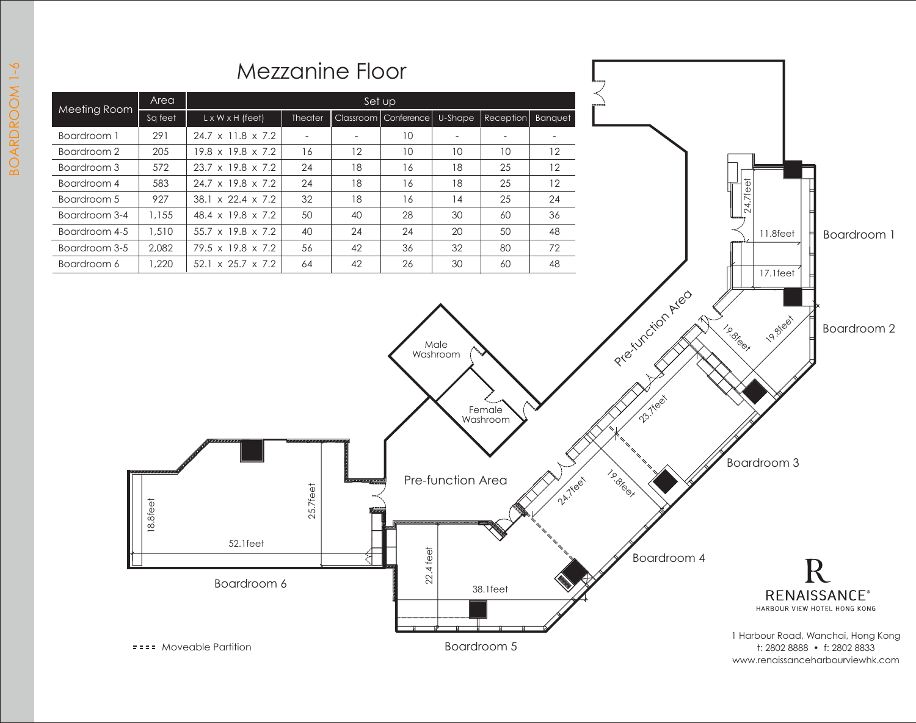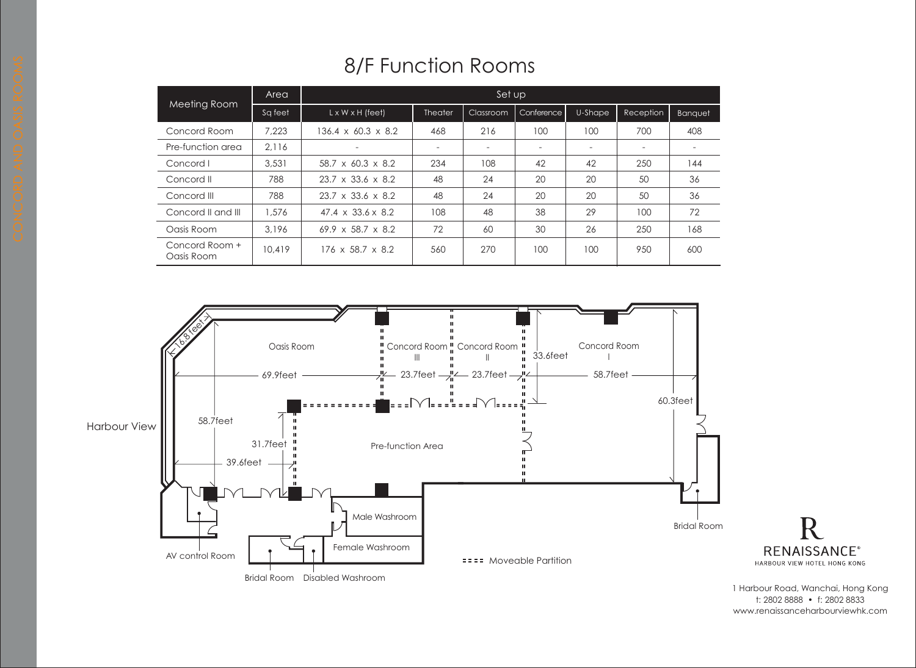| <b>8/F Function Rooms</b> |  |
|---------------------------|--|
|---------------------------|--|

| <b>Meeting Room</b>          | Area    | Set up                         |                |                          |                          |         |           |                          |
|------------------------------|---------|--------------------------------|----------------|--------------------------|--------------------------|---------|-----------|--------------------------|
|                              | Sq feet | $L \times W \times H$ (feet)   | <b>Theater</b> | Classroom                | Conference               | U-Shape | Reception | Banquet                  |
| Concord Room                 | 7.223   | $136.4 \times 60.3 \times 8.2$ | 468            | 216                      | 100                      | 100     | 700       | 408                      |
| Pre-function area            | 2.116   | $\overline{\phantom{a}}$       |                | $\overline{\phantom{a}}$ | $\overline{\phantom{a}}$ |         |           | $\overline{\phantom{a}}$ |
| Concord I                    | 3,531   | $58.7 \times 60.3 \times 8.2$  | 234            | 108                      | 42                       | 42      | 250       | 144                      |
| Concord II                   | 788     | $23.7 \times 33.6 \times 8.2$  | 48             | 24                       | 20                       | 20      | 50        | 36                       |
| Concord III                  | 788     | $23.7 \times 33.6 \times 8.2$  | 48             | 24                       | 20                       | 20      | 50        | 36                       |
| Concord II and III           | 1,576   | $47.4 \times 33.6 \times 8.2$  | 108            | 48                       | 38                       | 29      | 100       | 72                       |
| Oasis Room                   | 3,196   | $69.9 \times 58.7 \times 8.2$  | 72             | 60                       | 30                       | 26      | 250       | 168                      |
| Concord Room +<br>Oasis Room | 10,419  | $176 \times 58.7 \times 8.2$   | 560            | 270                      | 100                      | 100     | 950       | 600                      |



1 Harbour Road, Wanchai, Hong Kong t: 2802 8888 • f: 2802 8833 www.renaissanceharbourviewhk.com